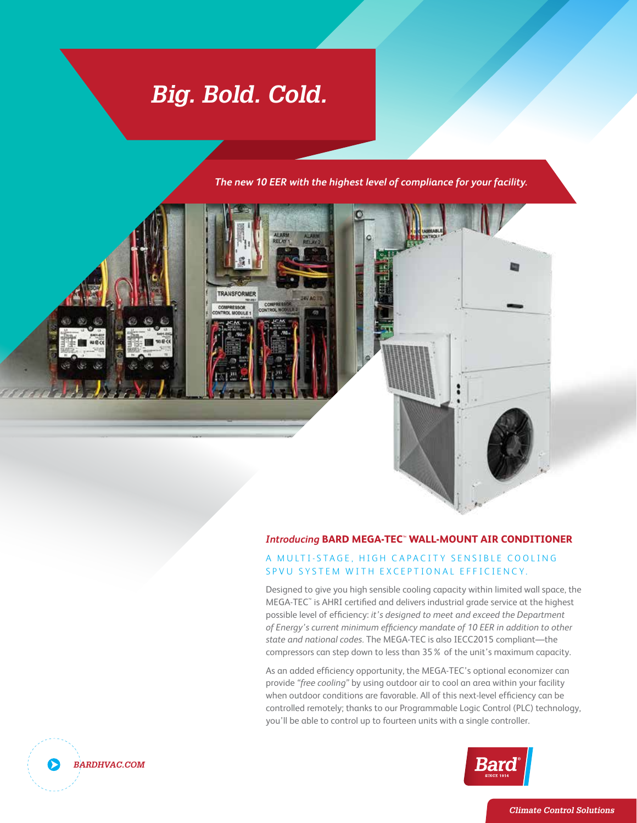# *Big. Bold. Cold.*

*The new 10 EER with the highest level of compliance for your facility.*



#### *Introducing* **BARD MEGA-TEC**™ **WALL-MOUNT AIR CONDITIONER**

#### A MULTI-STAGE, HIGH CAPACITY SENSIBLE COOLING SPVU SYSTEM WITH EXCEPTIONAL EFFICIENCY.

Designed to give you high sensible cooling capacity within limited wall space, the MEGA-TEC™ is AHRI certified and delivers industrial grade service at the highest possible level of efficiency: *it's designed to meet and exceed the Department of Energy's current minimum efficiency mandate of 10 EER in addition to other state and national codes.* The MEGA-TEC is also IECC2015 compliant—the compressors can step down to less than 35% of the unit's maximum capacity.

As an added efficiency opportunity, the MEGA-TEC's optional economizer can provide *"free cooling"* by using outdoor air to cool an area within your facility when outdoor conditions are favorable. All of this next-level efficiency can be controlled remotely; thanks to our Programmable Logic Control (PLC) technology, you'll be able to control up to fourteen units with a single controller.





*Climate Control Solutions*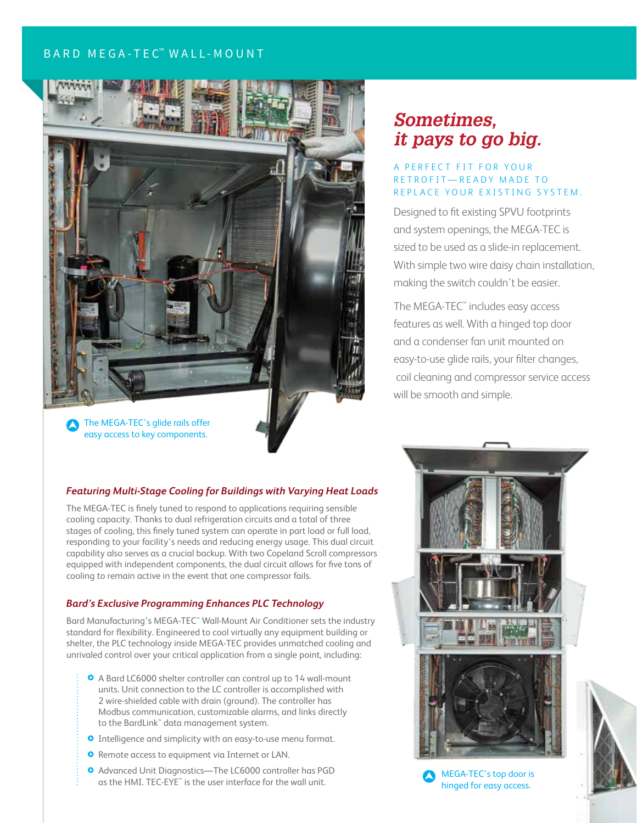### BARD MEGA-TEC™ WALL-MOUNT



### *Sometimes, it pays to go big.*

#### A PERFECT FIT FOR YOUR R F T R O F I T — R F A D Y M A D F T O REPLACE YOUR EXISTING SYSTEM.

Designed to fit existing SPVU footprints and system openings, the MEGA-TEC is sized to be used as a slide-in replacement. With simple two wire daisy chain installation, making the switch couldn't be easier.

The MEGA-TEC<sup>™</sup> includes easy access features as well. With a hinged top door and a condenser fan unit mounted on easy-to-use glide rails, your filter changes, coil cleaning and compressor service access will be smooth and simple.

#### *Featuring Multi-Stage Cooling for Buildings with Varying Heat Loads*

The MEGA-TEC is finely tuned to respond to applications requiring sensible cooling capacity. Thanks to dual refrigeration circuits and a total of three stages of cooling, this finely tuned system can operate in part load or full load, responding to your facility's needs and reducing energy usage. This dual circuit capability also serves as a crucial backup. With two Copeland Scroll compressors equipped with independent components, the dual circuit allows for five tons of cooling to remain active in the event that one compressor fails.

#### *Bard's Exclusive Programming Enhances PLC Technology*

Bard Manufacturing's MEGA-TEC™ Wall-Mount Air Conditioner sets the industry standard for flexibility. Engineered to cool virtually any equipment building or shelter, the PLC technology inside MEGA-TEC provides unmatched cooling and unrivaled control over your critical application from a single point, including:

- A Bard LC6000 shelter controller can control up to 14 wall-mount units. Unit connection to the LC controller is accomplished with 2 wire-shielded cable with drain (ground). The controller has Modbus communication, customizable alarms, and links directly to the BardLink™ data management system.
- **O** Intelligence and simplicity with an easy-to-use menu format.
- **O** Remote access to equipment via Internet or LAN.
- Advanced Unit Diagnostics—The LC6000 controller has PGD Advanced Unit Diagnostics—The LC6000 controller has  $PGD$   $\bigodot$  MEGA-TEC's top door is as the HMI. TEC-EYE" is the user interface for the wall unit.



hinged for easy access.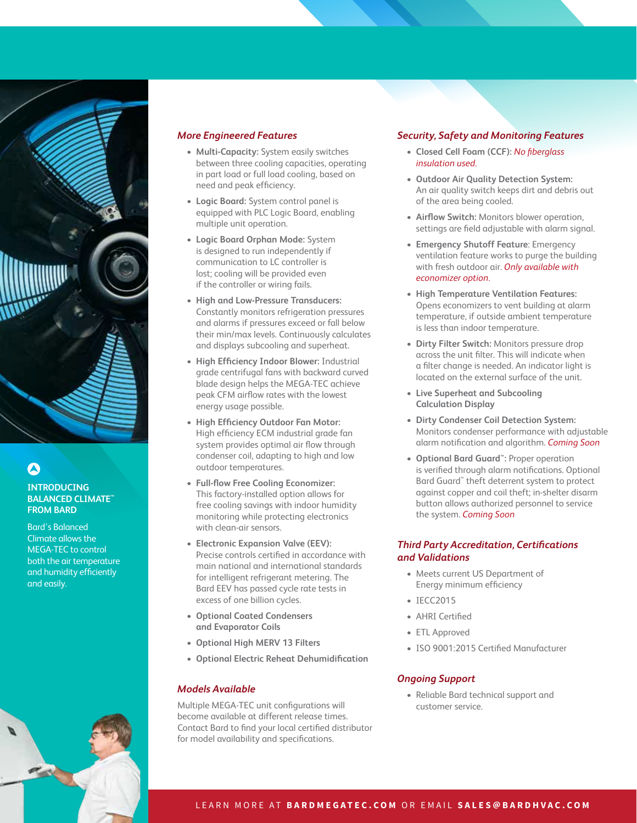

#### **INTRODUCING BALANCED CLIMATE™ FROM BARD**

Bard's Balanced Climate allows the MEGA-TEC to control both the air temperature and humidity efficiently and easily.

#### *More Engineered Features*

- **• Multi-Capacity:** System easily switches between three cooling capacities, operating in part load or full load cooling, based on need and peak efficiency.
- **• Logic Board:** System control panel is equipped with PLC Logic Board, enabling multiple unit operation.
- **• Logic Board Orphan Mode:** System is designed to run independently if communication to LC controller is lost; cooling will be provided even if the controller or wiring fails.
- **• High and Low-Pressure Transducers:**  Constantly monitors refrigeration pressures and alarms if pressures exceed or fall below their min/max levels. Continuously calculates and displays subcooling and superheat.
- **• High Efficiency Indoor Blower:** Industrial grade centrifugal fans with backward curved blade design helps the MEGA-TEC achieve peak CFM airflow rates with the lowest energy usage possible.
- **• High Efficiency Outdoor Fan Motor:**  High efficiency ECM industrial grade fan system provides optimal air flow through condenser coil, adapting to high and low outdoor temperatures.
- **• Full-flow Free Cooling Economizer:**  This factory-installed option allows for free cooling savings with indoor humidity monitoring while protecting electronics with clean-air sensors.
- **• Electronic Expansion Valve (EEV):**  Precise controls certified in accordance with main national and international standards for intelligent refrigerant metering. The Bard EEV has passed cycle rate tests in excess of one billion cycles.
- **• Optional Coated Condensers and Evaporator Coils**
- **• Optional High MERV 13 Filters**
- **• Optional Electric Reheat Dehumidification**

#### *Models Available*

Multiple MEGA-TEC unit configurations will become available at different release times. Contact Bard to find your local certified distributor for model availability and specifications.

#### *Security, Safety and Monitoring Features*

- **• Closed Cell Foam (CCF):** *No fiberglass insulation used.*
- **• Outdoor Air Quality Detection System:**  An air quality switch keeps dirt and debris out of the area being cooled.
- **• Airflow Switch:** Monitors blower operation, settings are field adjustable with alarm signal.
- **• Emergency Shutoff Feature**: Emergency ventilation feature works to purge the building with fresh outdoor air. *Only available with economizer option.*
- **• High Temperature Ventilation Features:**  Opens economizers to vent building at alarm temperature, if outside ambient temperature is less than indoor temperature.
- **• Dirty Filter Switch:** Monitors pressure drop across the unit filter. This will indicate when a filter change is needed. An indicator light is located on the external surface of the unit.
- **• Live Superheat and Subcooling Calculation Display**
- **• Dirty Condenser Coil Detection System:**  Monitors condenser performance with adjustable alarm notification and algorithm. *Coming Soon*
- **• Optional Bard Guard™:** Proper operation is verified through alarm notifications. Optional Bard Guard™ theft deterrent system to protect against copper and coil theft; in-shelter disarm button allows authorized personnel to service the system. *Coming Soon*

#### *Third Party Accreditation, Certifications and Validations*

- Meets current US Department of Energy minimum efficiency
- IECC2015
- AHRI Certified
- ETL Approved
- ISO 9001:2015 Certified Manufacturer

#### *Ongoing Support*

• Reliable Bard technical support and customer service.